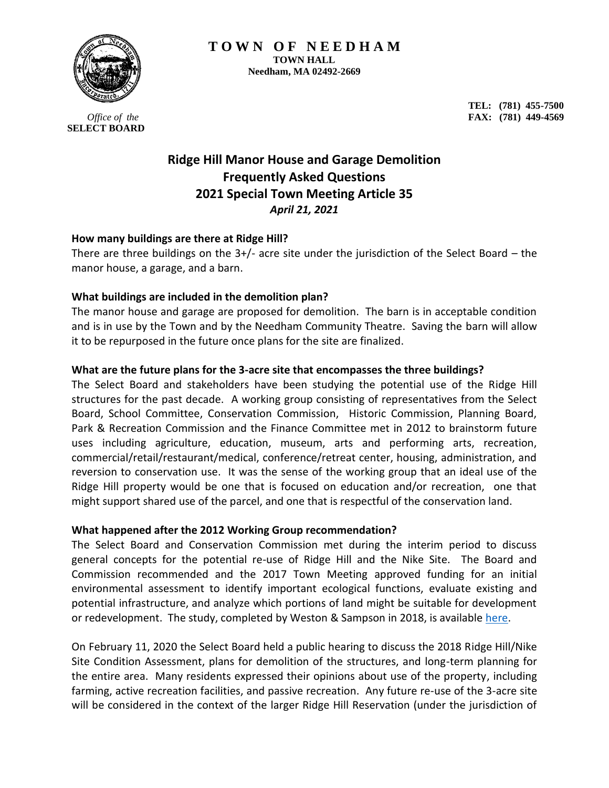

*Office of the*  **SELECT BOARD**

**TEL: (781) 455-7500 FAX: (781) 449-4569**

# **Ridge Hill Manor House and Garage Demolition Frequently Asked Questions 2021 Special Town Meeting Article 35** *April 21, 2021*

# **How many buildings are there at Ridge Hill?**

There are three buildings on the  $3+/-$  acre site under the jurisdiction of the Select Board – the manor house, a garage, and a barn.

# **What buildings are included in the demolition plan?**

The manor house and garage are proposed for demolition. The barn is in acceptable condition and is in use by the Town and by the Needham Community Theatre. Saving the barn will allow it to be repurposed in the future once plans for the site are finalized.

# **What are the future plans for the 3-acre site that encompasses the three buildings?**

The Select Board and stakeholders have been studying the potential use of the Ridge Hill structures for the past decade. A working group consisting of representatives from the Select Board, School Committee, Conservation Commission, Historic Commission, Planning Board, Park & Recreation Commission and the Finance Committee met in 2012 to brainstorm future uses including agriculture, education, museum, arts and performing arts, recreation, commercial/retail/restaurant/medical, conference/retreat center, housing, administration, and reversion to conservation use. It was the sense of the working group that an ideal use of the Ridge Hill property would be one that is focused on education and/or recreation, one that might support shared use of the parcel, and one that is respectful of the conservation land.

## **What happened after the 2012 Working Group recommendation?**

The Select Board and Conservation Commission met during the interim period to discuss general concepts for the potential re-use of Ridge Hill and the Nike Site. The Board and Commission recommended and the 2017 Town Meeting approved funding for an initial environmental assessment to identify important ecological functions, evaluate existing and potential infrastructure, and analyze which portions of land might be suitable for development or redevelopment. The study, completed by Weston & Sampson in 2018, is available [here.](http://www.needhamma.gov/DocumentCenter/View/17372/Ridge-Hill-Weston_-Sampson-Final-Report-11_2018?bidId=)

On February 11, 2020 the Select Board held a public hearing to discuss the 2018 Ridge Hill/Nike Site Condition Assessment, plans for demolition of the structures, and long-term planning for the entire area. Many residents expressed their opinions about use of the property, including farming, active recreation facilities, and passive recreation. Any future re-use of the 3-acre site will be considered in the context of the larger Ridge Hill Reservation (under the jurisdiction of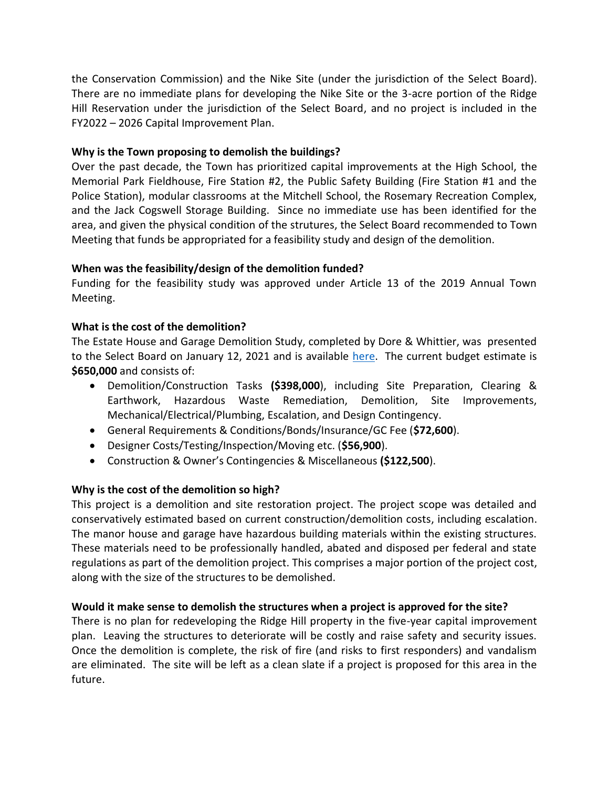the Conservation Commission) and the Nike Site (under the jurisdiction of the Select Board). There are no immediate plans for developing the Nike Site or the 3-acre portion of the Ridge Hill Reservation under the jurisdiction of the Select Board, and no project is included in the FY2022 – 2026 Capital Improvement Plan.

# **Why is the Town proposing to demolish the buildings?**

Over the past decade, the Town has prioritized capital improvements at the High School, the Memorial Park Fieldhouse, Fire Station #2, the Public Safety Building (Fire Station #1 and the Police Station), modular classrooms at the Mitchell School, the Rosemary Recreation Complex, and the Jack Cogswell Storage Building. Since no immediate use has been identified for the area, and given the physical condition of the strutures, the Select Board recommended to Town Meeting that funds be appropriated for a feasibility study and design of the demolition.

# **When was the feasibility/design of the demolition funded?**

Funding for the feasibility study was approved under Article 13 of the 2019 Annual Town Meeting.

# **What is the cost of the demolition?**

The Estate House and Garage Demolition Study, completed by Dore & Whittier, was presented to the Select Board on January 12, 2021 and is available [here.](http://www.needhamma.gov/DocumentCenter/View/23140/Ridge-Hill-Demo-Study-FINAL-R1-2020-11-03?bidId=) The current budget estimate is **\$650,000** and consists of:

- Demolition/Construction Tasks **(\$398,000**), including Site Preparation, Clearing & Earthwork, Hazardous Waste Remediation, Demolition, Site Improvements, Mechanical/Electrical/Plumbing, Escalation, and Design Contingency.
- General Requirements & Conditions/Bonds/Insurance/GC Fee (**\$72,600**).
- Designer Costs/Testing/Inspection/Moving etc. (**\$56,900**).
- Construction & Owner's Contingencies & Miscellaneous **(\$122,500**).

## **Why is the cost of the demolition so high?**

This project is a demolition and site restoration project. The project scope was detailed and conservatively estimated based on current construction/demolition costs, including escalation. The manor house and garage have hazardous building materials within the existing structures. These materials need to be professionally handled, abated and disposed per federal and state regulations as part of the demolition project. This comprises a major portion of the project cost, along with the size of the structures to be demolished.

## **Would it make sense to demolish the structures when a project is approved for the site?**

There is no plan for redeveloping the Ridge Hill property in the five-year capital improvement plan. Leaving the structures to deteriorate will be costly and raise safety and security issues. Once the demolition is complete, the risk of fire (and risks to first responders) and vandalism are eliminated. The site will be left as a clean slate if a project is proposed for this area in the future.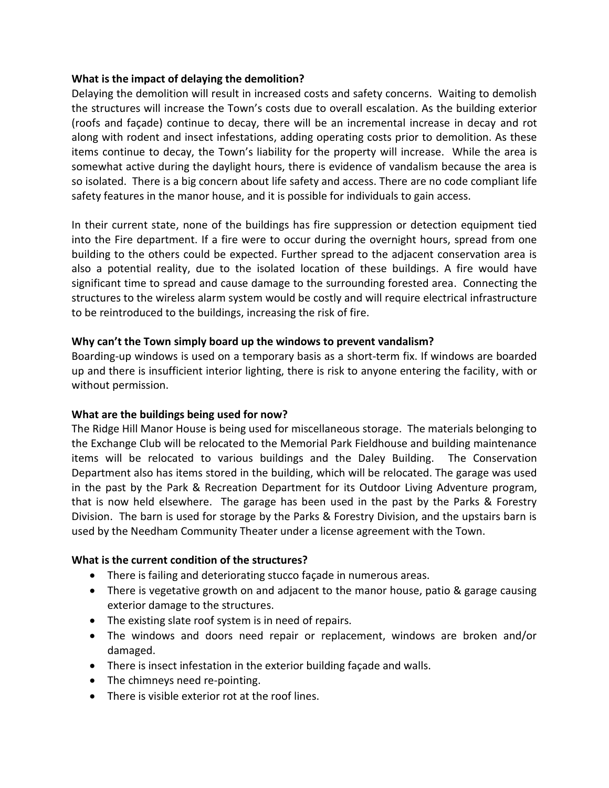## **What is the impact of delaying the demolition?**

Delaying the demolition will result in increased costs and safety concerns. Waiting to demolish the structures will increase the Town's costs due to overall escalation. As the building exterior (roofs and façade) continue to decay, there will be an incremental increase in decay and rot along with rodent and insect infestations, adding operating costs prior to demolition. As these items continue to decay, the Town's liability for the property will increase. While the area is somewhat active during the daylight hours, there is evidence of vandalism because the area is so isolated. There is a big concern about life safety and access. There are no code compliant life safety features in the manor house, and it is possible for individuals to gain access.

In their current state, none of the buildings has fire suppression or detection equipment tied into the Fire department. If a fire were to occur during the overnight hours, spread from one building to the others could be expected. Further spread to the adjacent conservation area is also a potential reality, due to the isolated location of these buildings. A fire would have significant time to spread and cause damage to the surrounding forested area. Connecting the structures to the wireless alarm system would be costly and will require electrical infrastructure to be reintroduced to the buildings, increasing the risk of fire.

## **Why can't the Town simply board up the windows to prevent vandalism?**

Boarding-up windows is used on a temporary basis as a short-term fix. If windows are boarded up and there is insufficient interior lighting, there is risk to anyone entering the facility, with or without permission.

## **What are the buildings being used for now?**

The Ridge Hill Manor House is being used for miscellaneous storage. The materials belonging to the Exchange Club will be relocated to the Memorial Park Fieldhouse and building maintenance items will be relocated to various buildings and the Daley Building. The Conservation Department also has items stored in the building, which will be relocated. The garage was used in the past by the Park & Recreation Department for its Outdoor Living Adventure program, that is now held elsewhere. The garage has been used in the past by the Parks & Forestry Division. The barn is used for storage by the Parks & Forestry Division, and the upstairs barn is used by the Needham Community Theater under a license agreement with the Town.

## **What is the current condition of the structures?**

- There is failing and deteriorating stucco façade in numerous areas.
- There is vegetative growth on and adjacent to the manor house, patio & garage causing exterior damage to the structures.
- The existing slate roof system is in need of repairs.
- The windows and doors need repair or replacement, windows are broken and/or damaged.
- There is insect infestation in the exterior building façade and walls.
- The chimneys need re-pointing.
- There is visible exterior rot at the roof lines.